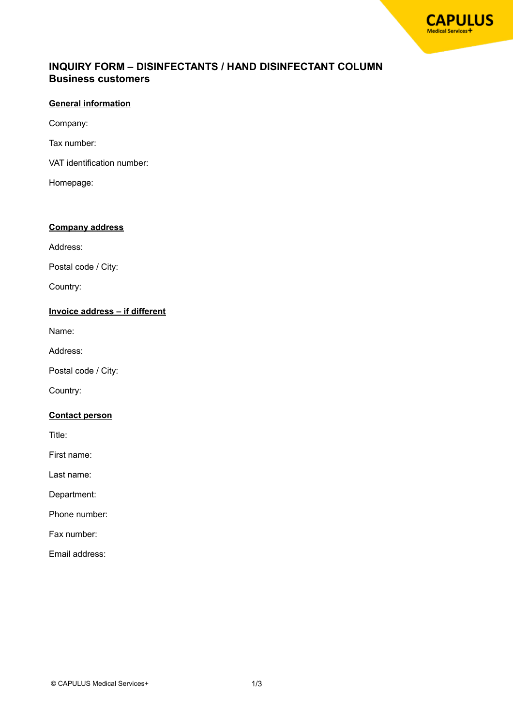# **INQUIRY FORM – DISINFECTANTS / HAND DISINFECTANT COLUMN Business customers**

## **General information**

Company:

Tax number:

VAT identification number:

Homepage:

#### **Company address**

Address:

Postal code / City:

Country:

### **Invoice address – if different**

Name:

Address:

Postal code / City:

Country:

#### **Contact person**

Title:

First name:

Last name:

Department:

Phone number:

Fax number:

Email address: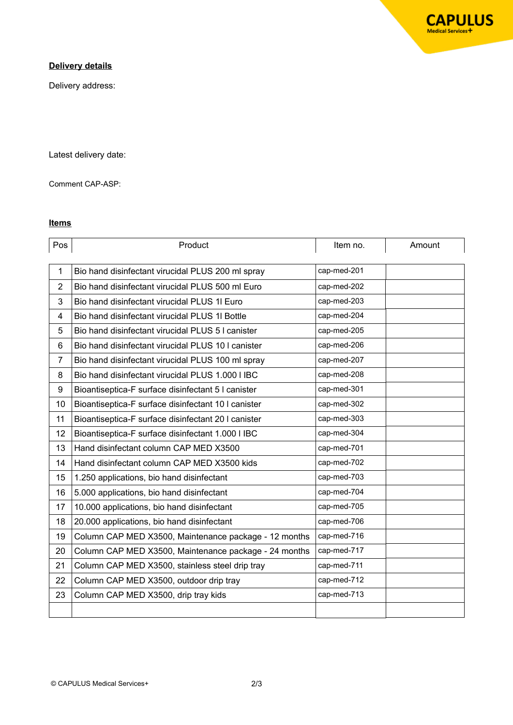# **Delivery details**

Delivery address:

Latest delivery date:

Comment CAP-ASP:

### **Items**

| Pos            | Product                                               | Item no.    | Amount |
|----------------|-------------------------------------------------------|-------------|--------|
|                |                                                       |             |        |
| $\mathbf{1}$   | Bio hand disinfectant virucidal PLUS 200 ml spray     | cap-med-201 |        |
| $\overline{2}$ | Bio hand disinfectant virucidal PLUS 500 ml Euro      | cap-med-202 |        |
| 3              | Bio hand disinfectant virucidal PLUS 1I Euro          | cap-med-203 |        |
| $\overline{4}$ | Bio hand disinfectant virucidal PLUS 1I Bottle        | cap-med-204 |        |
| 5              | Bio hand disinfectant virucidal PLUS 5 I canister     | cap-med-205 |        |
| 6              | Bio hand disinfectant virucidal PLUS 10 I canister    | cap-med-206 |        |
| $\overline{7}$ | Bio hand disinfectant virucidal PLUS 100 ml spray     | cap-med-207 |        |
| 8              | Bio hand disinfectant virucidal PLUS 1.000 I IBC      | cap-med-208 |        |
| 9              | Bioantiseptica-F surface disinfectant 5 I canister    | cap-med-301 |        |
| 10             | Bioantiseptica-F surface disinfectant 10 I canister   | cap-med-302 |        |
| 11             | Bioantiseptica-F surface disinfectant 20 I canister   | cap-med-303 |        |
| 12             | Bioantiseptica-F surface disinfectant 1.000 I IBC     | cap-med-304 |        |
| 13             | Hand disinfectant column CAP MED X3500                | cap-med-701 |        |
| 14             | Hand disinfectant column CAP MED X3500 kids           | cap-med-702 |        |
| 15             | 1.250 applications, bio hand disinfectant             | cap-med-703 |        |
| 16             | 5.000 applications, bio hand disinfectant             | cap-med-704 |        |
| 17             | 10.000 applications, bio hand disinfectant            | cap-med-705 |        |
| 18             | 20.000 applications, bio hand disinfectant            | cap-med-706 |        |
| 19             | Column CAP MED X3500, Maintenance package - 12 months | cap-med-716 |        |
| 20             | Column CAP MED X3500, Maintenance package - 24 months | cap-med-717 |        |
| 21             | Column CAP MED X3500, stainless steel drip tray       | cap-med-711 |        |
| 22             | Column CAP MED X3500, outdoor drip tray               | cap-med-712 |        |
| 23             | Column CAP MED X3500, drip tray kids                  | cap-med-713 |        |
|                |                                                       |             |        |